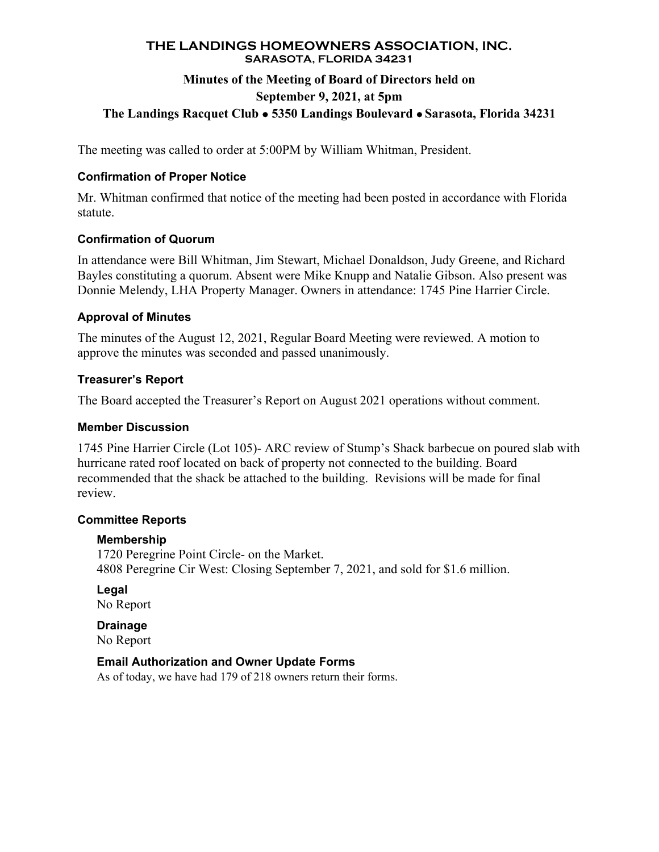# **THE LANDINGS HOMEOWNERS ASSOCIATION, INC. SARASOTA, FLORIDA 34231**

# **Minutes of the Meeting of Board of Directors held on September 9, 2021, at 5pm The Landings Racquet Club 5350 Landings Boulevard Sarasota, Florida 34231**

The meeting was called to order at 5:00PM by William Whitman, President.

# **Confirmation of Proper Notice**

Mr. Whitman confirmed that notice of the meeting had been posted in accordance with Florida statute.

# **Confirmation of Quorum**

In attendance were Bill Whitman, Jim Stewart, Michael Donaldson, Judy Greene, and Richard Bayles constituting a quorum. Absent were Mike Knupp and Natalie Gibson. Also present was Donnie Melendy, LHA Property Manager. Owners in attendance: 1745 Pine Harrier Circle.

# **Approval of Minutes**

The minutes of the August 12, 2021, Regular Board Meeting were reviewed. A motion to approve the minutes was seconded and passed unanimously.

# **Treasurer's Report**

The Board accepted the Treasurer's Report on August 2021 operations without comment.

### **Member Discussion**

1745 Pine Harrier Circle (Lot 105)- ARC review of Stump's Shack barbecue on poured slab with hurricane rated roof located on back of property not connected to the building. Board recommended that the shack be attached to the building. Revisions will be made for final review.

### **Committee Reports**

### **Membership**

1720 Peregrine Point Circle- on the Market. 4808 Peregrine Cir West: Closing September 7, 2021, and sold for \$1.6 million.

**Legal**  No Report

**Drainage**  No Report

### **Email Authorization and Owner Update Forms**

As of today, we have had 179 of 218 owners return their forms.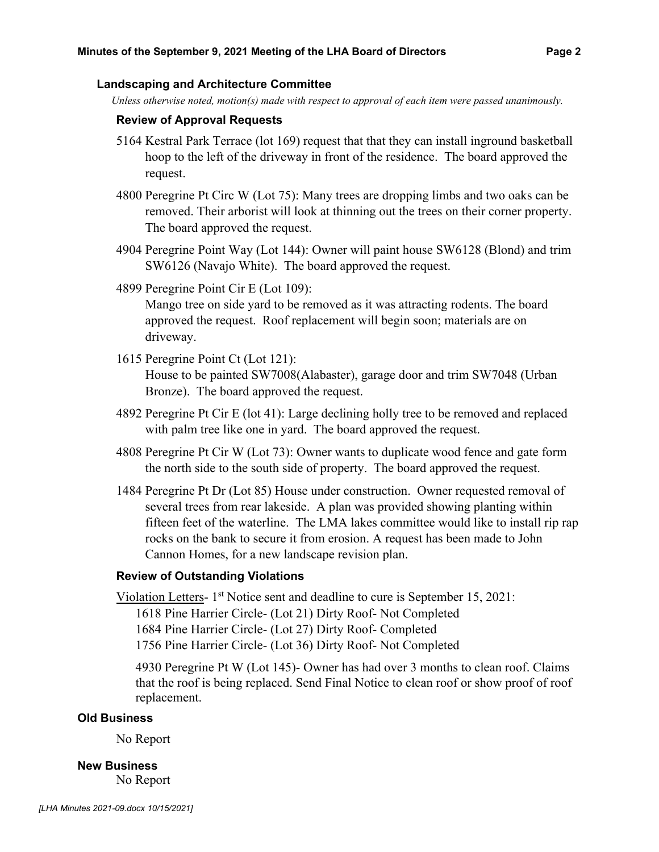#### **Landscaping and Architecture Committee**

*Unless otherwise noted, motion(s) made with respect to approval of each item were passed unanimously.* 

#### **Review of Approval Requests**

- 5164 Kestral Park Terrace (lot 169) request that that they can install inground basketball hoop to the left of the driveway in front of the residence. The board approved the request.
- 4800 Peregrine Pt Circ W (Lot 75): Many trees are dropping limbs and two oaks can be removed. Their arborist will look at thinning out the trees on their corner property. The board approved the request.
- 4904 Peregrine Point Way (Lot 144): Owner will paint house SW6128 (Blond) and trim SW6126 (Navajo White). The board approved the request.
- 4899 Peregrine Point Cir E (Lot 109):

Mango tree on side yard to be removed as it was attracting rodents. The board approved the request. Roof replacement will begin soon; materials are on driveway.

- 1615 Peregrine Point Ct (Lot 121): House to be painted SW7008(Alabaster), garage door and trim SW7048 (Urban Bronze). The board approved the request.
- 4892 Peregrine Pt Cir E (lot 41): Large declining holly tree to be removed and replaced with palm tree like one in yard. The board approved the request.
- 4808 Peregrine Pt Cir W (Lot 73): Owner wants to duplicate wood fence and gate form the north side to the south side of property. The board approved the request.
- 1484 Peregrine Pt Dr (Lot 85) House under construction. Owner requested removal of several trees from rear lakeside. A plan was provided showing planting within fifteen feet of the waterline. The LMA lakes committee would like to install rip rap rocks on the bank to secure it from erosion. A request has been made to John Cannon Homes, for a new landscape revision plan.

#### **Review of Outstanding Violations**

Violation Letters- 1<sup>st</sup> Notice sent and deadline to cure is September 15, 2021: 1618 Pine Harrier Circle- (Lot 21) Dirty Roof- Not Completed 1684 Pine Harrier Circle- (Lot 27) Dirty Roof- Completed 1756 Pine Harrier Circle- (Lot 36) Dirty Roof- Not Completed

4930 Peregrine Pt W (Lot 145)- Owner has had over 3 months to clean roof. Claims that the roof is being replaced. Send Final Notice to clean roof or show proof of roof replacement.

#### **Old Business**

No Report

**New Business**  No Report